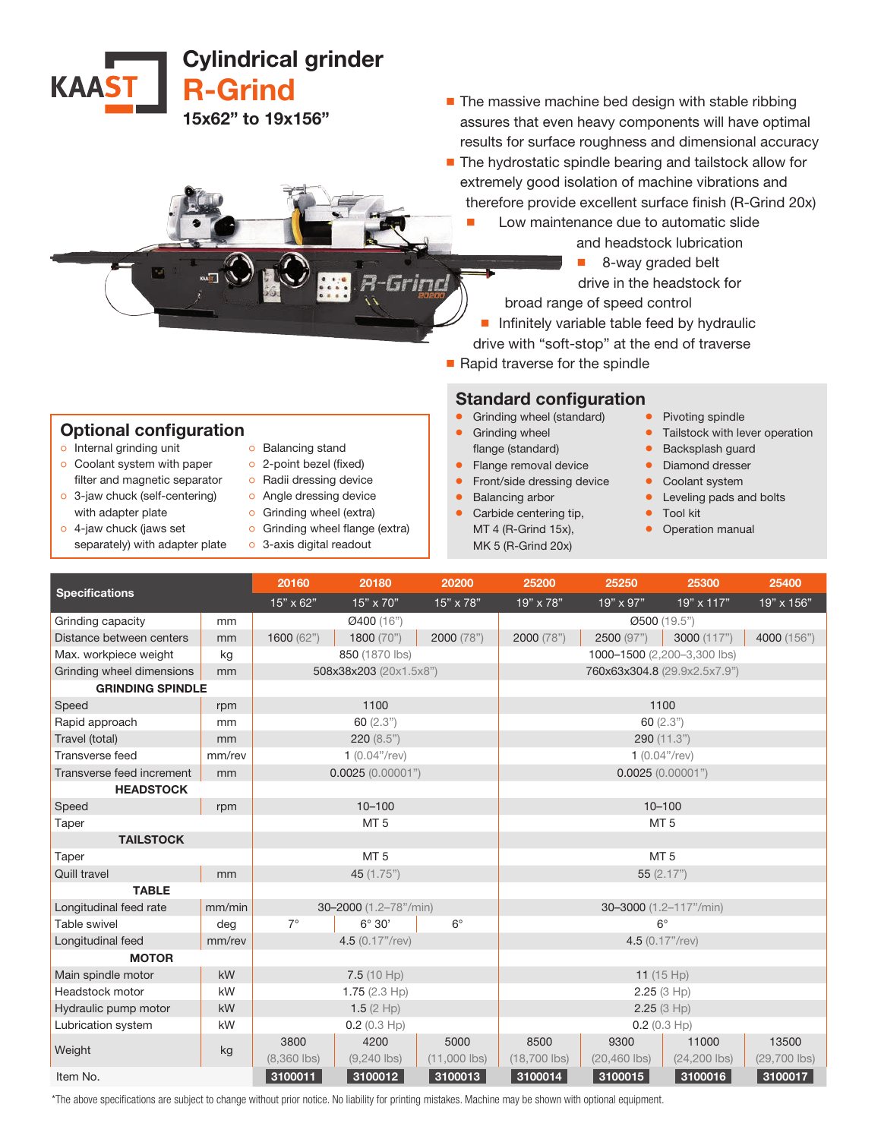Cylindrical grinder R-Grind

15x62" to 19x156"

■ The massive machine bed design with stable ribbing assures that even heavy components will have optimal results for surface roughness and dimensional accuracy

- The hydrostatic spindle bearing and tailstock allow for extremely good isolation of machine vibrations and therefore provide excellent surface finish (R-Grind 20x)
	- Low maintenance due to automatic slide
		- and headstock lubrication
		- 8-way graded belt
		- drive in the headstock for
		- broad range of speed control
	- Infinitely variable table feed by hydraulic drive with "soft-stop" at the end of traverse
- Rapid traverse for the spindle

## Standard configuration

- Grinding wheel (standard)
- **•** Grinding wheel flange (standard)
- Flange removal device
- Front/side dressing device
- Balancing arbor
- Carbide centering tip, MT 4 (R-Grind 15x), MK 5 (R-Grind 20x)
- Pivoting spindle
- **•** Tailstock with lever operation
- Backsplash guard
- Diamond dresser
- Coolant system
- Leveling pads and bolts
- Tool kit
- Operation manual

| <b>Specifications</b>            |        | 20160                 | 20180                  | 20200                       | 25200                        | 25250                   | 25300                    | 25400                   |
|----------------------------------|--------|-----------------------|------------------------|-----------------------------|------------------------------|-------------------------|--------------------------|-------------------------|
|                                  |        | $15" \times 62"$      | $15" \times 70"$       | 15" x 78"                   | 19" x 78"                    | 19" x 97"               | $19" \times 117"$        | $19" \times 156"$       |
| Grinding capacity                | mm     |                       | Ø400 (16")             |                             |                              |                         | Ø500 (19.5")             |                         |
| Distance between centers         | mm     | 1600 (62")            | 1800 (70")             | 2000 (78")                  | 2000 (78")                   | 2500 (97")              | 3000 (117")              | 4000 (156")             |
| Max. workpiece weight            | kg     | 850 (1870 lbs)        |                        | 1000-1500 (2,200-3,300 lbs) |                              |                         |                          |                         |
| Grinding wheel dimensions        | mm     |                       | 508x38x203 (20x1.5x8") |                             | 760x63x304.8 (29.9x2.5x7.9") |                         |                          |                         |
| <b>GRINDING SPINDLE</b>          |        |                       |                        |                             |                              |                         |                          |                         |
| Speed                            | rpm    | 1100                  |                        |                             | 1100                         |                         |                          |                         |
| Rapid approach                   | mm     |                       | 60(2.3")               |                             |                              |                         | 60(2.3")                 |                         |
| Travel (total)                   | mm     |                       | 220(8.5")              |                             |                              |                         | 290 (11.3")              |                         |
| Transverse feed                  | mm/rev |                       | $1(0.04"$ /rev)        |                             |                              |                         | $1(0.04"$ /rev)          |                         |
| Transverse feed increment        | mm     | 0.0025(0.00001")      |                        | 0.0025(0.00001")            |                              |                         |                          |                         |
| <b>HEADSTOCK</b>                 |        |                       |                        |                             |                              |                         |                          |                         |
| Speed                            | rpm    | $10 - 100$            |                        | $10 - 100$                  |                              |                         |                          |                         |
| Taper                            |        | MT <sub>5</sub>       |                        |                             | MT <sub>5</sub>              |                         |                          |                         |
| <b>TAILSTOCK</b>                 |        |                       |                        |                             |                              |                         |                          |                         |
| Taper                            |        |                       | MT <sub>5</sub>        |                             |                              |                         | MT <sub>5</sub>          |                         |
| <b>Quill travel</b>              | mm     | 45 (1.75")            |                        | 55(2.17")                   |                              |                         |                          |                         |
| <b>TABLE</b>                     |        |                       |                        |                             |                              |                         |                          |                         |
| mm/min<br>Longitudinal feed rate |        | 30-2000 (1.2-78"/min) |                        |                             | 30-3000 (1.2-117"/min)       |                         |                          |                         |
| Table swivel                     | deg    | $7^\circ$             | $6^\circ 30'$          | $6^{\circ}$                 |                              |                         | $6^\circ$                |                         |
| Longitudinal feed                | mm/rev |                       | 4.5 (0.17"/rev)        |                             |                              |                         | 4.5 (0.17"/rev)          |                         |
| <b>MOTOR</b>                     |        |                       |                        |                             |                              |                         |                          |                         |
| kW<br>Main spindle motor         |        | 7.5(10 Hp)            |                        |                             | 11 $(15 Hp)$                 |                         |                          |                         |
| Headstock motor                  | kW     | 1.75 $(2.3 Hp)$       |                        | 2.25(3 Hp)                  |                              |                         |                          |                         |
| Hydraulic pump motor             | kW     | 1.5 $(2$ Hp)          |                        | 2.25(3 Hp)                  |                              |                         |                          |                         |
| <b>Lubrication system</b>        | kW     | $0.2$ (0.3 Hp)        |                        |                             | $0.2$ (0.3 Hp)               |                         |                          |                         |
| Weight                           | kg     | 3800<br>$(8,360$ lbs) | 4200<br>$(9,240$ lbs)  | 5000<br>$(11,000$ lbs)      | 8500<br>$(18,700$ lbs)       | 9300<br>$(20, 460$ lbs) | 11000<br>$(24, 200$ lbs) | 13500<br>$(29,700$ lbs) |
| Item No.                         |        | 3100011               | 3100012                | 3100013                     | 3100014                      | 3100015                 | 3100016                  | 3100017                 |
|                                  |        |                       |                        |                             |                              |                         |                          |                         |

filter and magnetic separator o 3-jaw chuck (self-centering) with adapter plate ੦ 4-jaw chuck (jaws set

separately) with adapter plate

o Internal grinding unit ੦ Coolant system with paper

**KAAST** 

- ੦ 2-point bezel (fixed)
	- ੦ Radii dressing device
	- o Angle dressing device
	- o Grinding wheel (extra)
	- o Grinding wheel flange (extra)
	- o 3-axis digital readout

\*The above specifications are subject to change without prior notice. No liability for printing mistakes. Machine may be shown with optional equipment.

Optional configuration ੦ Balancing stand